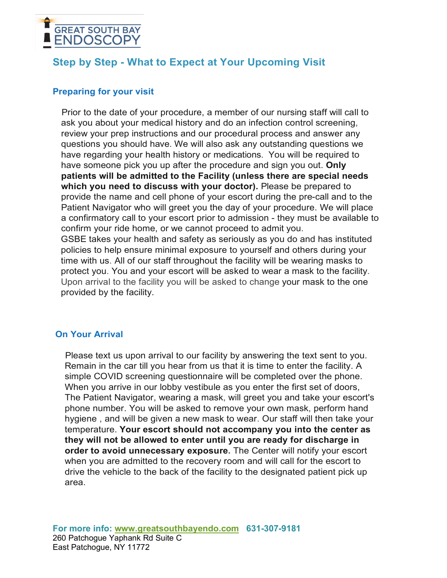

# **Step by Step - What to Expect at Your Upcoming Visit**

## **Preparing for your visit**

Prior to the date of your procedure, a member of our nursing staff will call to ask you about your medical history and do an infection control screening, review your prep instructions and our procedural process and answer any questions you should have. We will also ask any outstanding questions we have regarding your health history or medications. You will be required to have someone pick you up after the procedure and sign you out. **Only patients will be admitted to the Facility (unless there are special needs which you need to discuss with your doctor).** Please be prepared to provide the name and cell phone of your escort during the pre-call and to the Patient Navigator who will greet you the day of your procedure. We will place a confirmatory call to your escort prior to admission - they must be available to confirm your ride home, or we cannot proceed to admit you. GSBE takes your health and safety as seriously as you do and has instituted policies to help ensure minimal exposure to yourself and others during your time with us. All of our staff throughout the facility will be wearing masks to protect you. You and your escort will be asked to wear a mask to the facility. Upon arrival to the facility you will be asked to change your mask to the one provided by the facility.

## **On Your Arrival**

Please text us upon arrival to our facility by answering the text sent to you. Remain in the car till you hear from us that it is time to enter the facility. A simple COVID screening questionnaire will be completed over the phone. When you arrive in our lobby vestibule as you enter the first set of doors, The Patient Navigator, wearing a mask, will greet you and take your escort's phone number. You will be asked to remove your own mask, perform hand hygiene , and will be given a new mask to wear. Our staff will then take your temperature. **Your escort should not accompany you into the center as they will not be allowed to enter until you are ready for discharge in order to avoid unnecessary exposure.** The Center will notify your escort when you are admitted to the recovery room and will call for the escort to drive the vehicle to the back of the facility to the designated patient pick up area.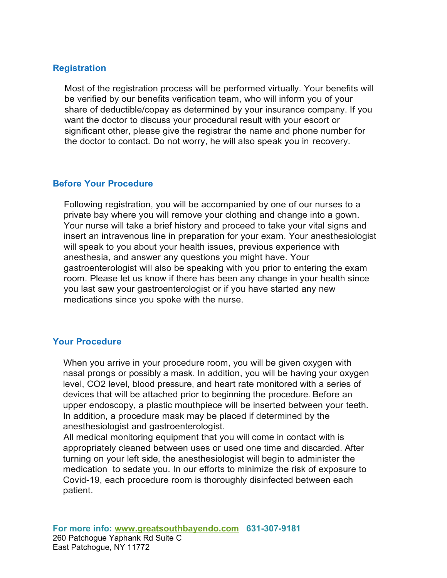## **Registration**

Most of the registration process will be performed virtually. Your benefits will be verified by our benefits verification team, who will inform you of your share of deductible/copay as determined by your insurance company. If you want the doctor to discuss your procedural result with your escort or significant other, please give the registrar the name and phone number for the doctor to contact. Do not worry, he will also speak you in recovery.

## **Before Your Procedure**

Following registration, you will be accompanied by one of our nurses to a private bay where you will remove your clothing and change into a gown. Your nurse will take a brief history and proceed to take your vital signs and insert an intravenous line in preparation for your exam. Your anesthesiologist will speak to you about your health issues, previous experience with anesthesia, and answer any questions you might have. Your gastroenterologist will also be speaking with you prior to entering the exam room. Please let us know if there has been any change in your health since you last saw your gastroenterologist or if you have started any new medications since you spoke with the nurse.

## **Your Procedure**

When you arrive in your procedure room, you will be given oxygen with nasal prongs or possibly a mask. In addition, you will be having your oxygen level, CO2 level, blood pressure, and heart rate monitored with a series of devices that will be attached prior to beginning the procedure. Before an upper endoscopy, a plastic mouthpiece will be inserted between your teeth. In addition, a procedure mask may be placed if determined by the anesthesiologist and gastroenterologist.

All medical monitoring equipment that you will come in contact with is appropriately cleaned between uses or used one time and discarded. After turning on your left side, the anesthesiologist will begin to administer the medication to sedate you. In our efforts to minimize the risk of exposure to Covid-19, each procedure room is thoroughly disinfected between each patient.